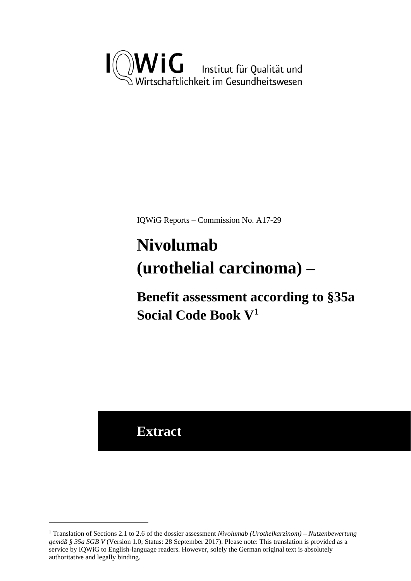

IQWiG Reports – Commission No. A17-29

# <span id="page-0-1"></span>**Nivolumab (urothelial carcinoma) –**

**Benefit assessment according to §35a Social Code Book V[1](#page-0-0)**

**Extract**

<u>.</u>

<span id="page-0-0"></span><sup>1</sup> Translation of Sections 2.1 to 2.6 of the dossier assessment *Nivolumab (Urothelkarzinom) – Nutzenbewertung gemäß § 35a SGB V* (Version 1.0; Status: 28 September 2017). Please note: This translation is provided as a service by IQWiG to English-language readers. However, solely the German original text is absolutely authoritative and legally binding.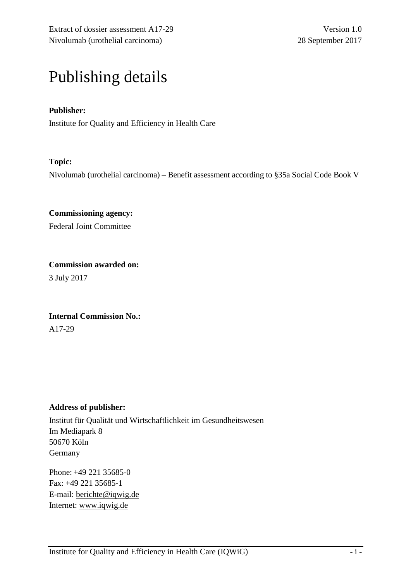# Publishing details

# **Publisher:**

Institute for Quality and Efficiency in Health Care

### **Topic:**

Nivolumab (urothelial carcinoma) – Benefit assessment according to §35a Social Code Book V

**Commissioning agency:**  Federal Joint Committee

**Commission awarded on:**  3 July 2017

**Internal Commission No.:**  A17-29

#### **Address of publisher:**

Institut für Qualität und Wirtschaftlichkeit im Gesundheitswesen Im Mediapark 8 50670 Köln Germany

Phone: +49 221 35685-0 Fax: +49 221 35685-1 E-mail: [berichte@iqwig.de](mailto:berichte@iqwig.de) Internet: [www.iqwig.de](http://www.iqwig.de/)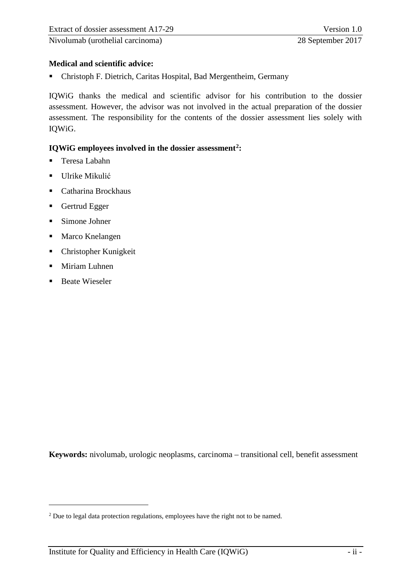# **Medical and scientific advice:**

Christoph F. Dietrich, Caritas Hospital, Bad Mergentheim, Germany

IQWiG thanks the medical and scientific advisor for his contribution to the dossier assessment. However, the advisor was not involved in the actual preparation of the dossier assessment. The responsibility for the contents of the dossier assessment lies solely with IQWiG.

#### **IQWiG employees involved in the dossier assessment[2](#page-2-0):**

- **Teresa Labahn**
- **Ulrike Mikulić**
- Catharina Brockhaus
- Gertrud Egger
- Simone Johner
- Marco Knelangen
- Christopher Kunigkeit
- **Miriam Luhnen**
- Beate Wieseler

<u>.</u>

**Keywords:** nivolumab, urologic neoplasms, carcinoma – transitional cell, benefit assessment

<span id="page-2-0"></span><sup>&</sup>lt;sup>2</sup> Due to legal data protection regulations, employees have the right not to be named.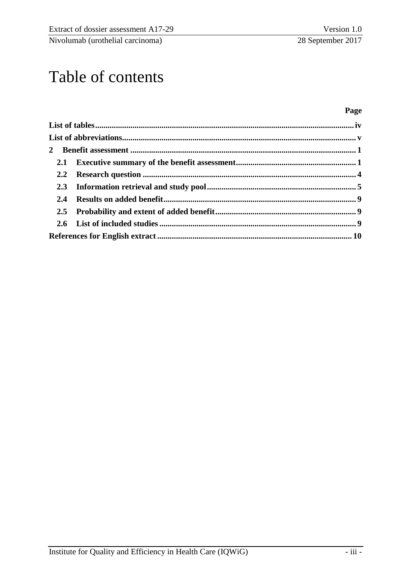# Table of contents

### **Page**

| $2.2^{\circ}$ |  |
|---------------|--|
|               |  |
|               |  |
|               |  |
|               |  |
|               |  |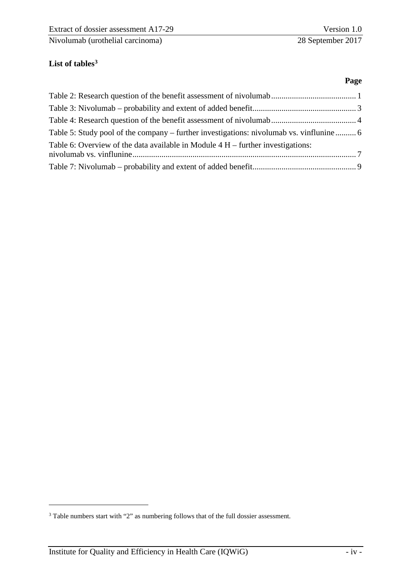**Page** 

# <span id="page-4-0"></span>**List of table[s3](#page-4-1)**

| Table 5: Study pool of the company – further investigations: nivolumab vs. vinflunine 6 |  |
|-----------------------------------------------------------------------------------------|--|
| Table 6: Overview of the data available in Module $4 H$ – further investigations:       |  |
|                                                                                         |  |
|                                                                                         |  |

<u>.</u>

<span id="page-4-1"></span><sup>3</sup> Table numbers start with "2" as numbering follows that of the full dossier assessment.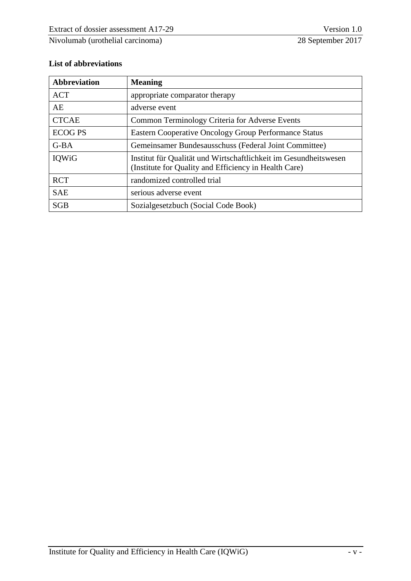# <span id="page-5-0"></span>**List of abbreviations**

| <b>Abbreviation</b> | <b>Meaning</b>                                                                                                            |
|---------------------|---------------------------------------------------------------------------------------------------------------------------|
| <b>ACT</b>          | appropriate comparator therapy                                                                                            |
| AE                  | adverse event                                                                                                             |
| <b>CTCAE</b>        | Common Terminology Criteria for Adverse Events                                                                            |
| <b>ECOG PS</b>      | <b>Eastern Cooperative Oncology Group Performance Status</b>                                                              |
| $G-BA$              | Gemeinsamer Bundesausschuss (Federal Joint Committee)                                                                     |
| IQWiG               | Institut für Qualität und Wirtschaftlichkeit im Gesundheitswesen<br>(Institute for Quality and Efficiency in Health Care) |
| <b>RCT</b>          | randomized controlled trial                                                                                               |
| <b>SAE</b>          | serious adverse event                                                                                                     |
| <b>SGB</b>          | Sozialgesetzbuch (Social Code Book)                                                                                       |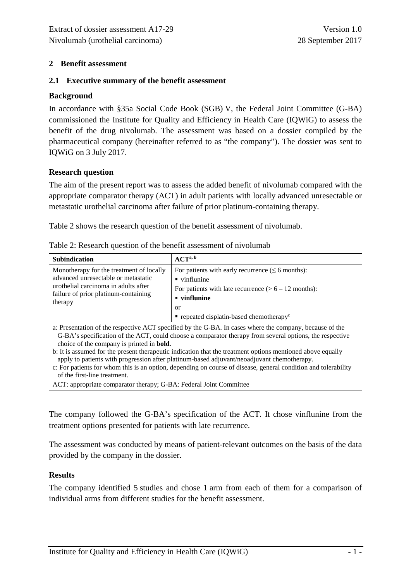#### <span id="page-6-0"></span>**2 Benefit assessment**

#### <span id="page-6-1"></span>**2.1 Executive summary of the benefit assessment**

#### **Background**

In accordance with §35a Social Code Book (SGB) V, the Federal Joint Committee (G-BA) commissioned the Institute for Quality and Efficiency in Health Care (IQWiG) to assess the benefit of the drug nivolumab. The assessment was based on a dossier compiled by the pharmaceutical company (hereinafter referred to as "the company"). The dossier was sent to IQWiG on 3 July 2017.

#### **Research question**

The aim of the present report was to assess the added benefit of nivolumab compared with the appropriate comparator therapy (ACT) in adult patients with locally advanced unresectable or metastatic urothelial carcinoma after failure of prior platinum-containing therapy.

[Table 2](#page-6-2) shows the research question of the benefit assessment of nivolumab.

| <b>Subindication</b>                                                                                                                                                       | ACT <sup>a, b</sup>                                                                                                                                                                                                                                           |
|----------------------------------------------------------------------------------------------------------------------------------------------------------------------------|---------------------------------------------------------------------------------------------------------------------------------------------------------------------------------------------------------------------------------------------------------------|
| Monotherapy for the treatment of locally<br>advanced unresectable or metastatic<br>urothelial carcinoma in adults after<br>failure of prior platinum-containing<br>therapy | For patients with early recurrence $(\leq 6 \text{ months})$ :<br>$\blacksquare$ vinflunine<br>For patients with late recurrence $(> 6 - 12$ months):<br>$\blacksquare$ vinflunine<br>or<br>$\blacksquare$ repeated cisplatin-based chemotherapy <sup>c</sup> |

<span id="page-6-2"></span>Table 2: Research question of the benefit assessment of nivolumab

a: Presentation of the respective ACT specified by the G-BA. In cases where the company, because of the G-BA's specification of the ACT, could choose a comparator therapy from several options, the respective choice of the company is printed in **bold**.

b: It is assumed for the present therapeutic indication that the treatment options mentioned above equally apply to patients with progression after platinum-based adjuvant/neoadjuvant chemotherapy.

c: For patients for whom this is an option, depending on course of disease, general condition and tolerability of the first-line treatment.

ACT: appropriate comparator therapy; G-BA: Federal Joint Committee

The company followed the G-BA's specification of the ACT. It chose vinflunine from the treatment options presented for patients with late recurrence.

The assessment was conducted by means of patient-relevant outcomes on the basis of the data provided by the company in the dossier.

#### **Results**

The company identified 5 studies and chose 1 arm from each of them for a comparison of individual arms from different studies for the benefit assessment.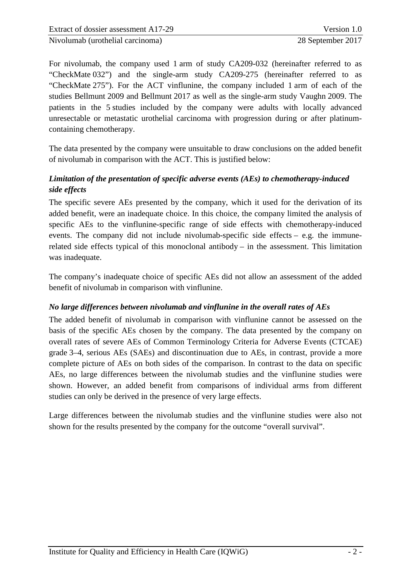For nivolumab, the company used 1 arm of study CA209-032 (hereinafter referred to as "CheckMate 032") and the single-arm study CA209-275 (hereinafter referred to as "CheckMate 275"). For the ACT vinflunine, the company included 1 arm of each of the studies Bellmunt 2009 and Bellmunt 2017 as well as the single-arm study Vaughn 2009. The patients in the 5 studies included by the company were adults with locally advanced unresectable or metastatic urothelial carcinoma with progression during or after platinumcontaining chemotherapy.

The data presented by the company were unsuitable to draw conclusions on the added benefit of nivolumab in comparison with the ACT. This is justified below:

# *Limitation of the presentation of specific adverse events (AEs) to chemotherapy-induced side effects*

The specific severe AEs presented by the company, which it used for the derivation of its added benefit, were an inadequate choice. In this choice, the company limited the analysis of specific AEs to the vinflunine-specific range of side effects with chemotherapy-induced events. The company did not include nivolumab-specific side effects – e.g. the immunerelated side effects typical of this monoclonal antibody – in the assessment. This limitation was inadequate.

The company's inadequate choice of specific AEs did not allow an assessment of the added benefit of nivolumab in comparison with vinflunine.

# *No large differences between nivolumab and vinflunine in the overall rates of AEs*

The added benefit of nivolumab in comparison with vinflunine cannot be assessed on the basis of the specific AEs chosen by the company. The data presented by the company on overall rates of severe AEs of Common Terminology Criteria for Adverse Events (CTCAE) grade 3–4, serious AEs (SAEs) and discontinuation due to AEs, in contrast, provide a more complete picture of AEs on both sides of the comparison. In contrast to the data on specific AEs, no large differences between the nivolumab studies and the vinflunine studies were shown. However, an added benefit from comparisons of individual arms from different studies can only be derived in the presence of very large effects.

Large differences between the nivolumab studies and the vinflunine studies were also not shown for the results presented by the company for the outcome "overall survival".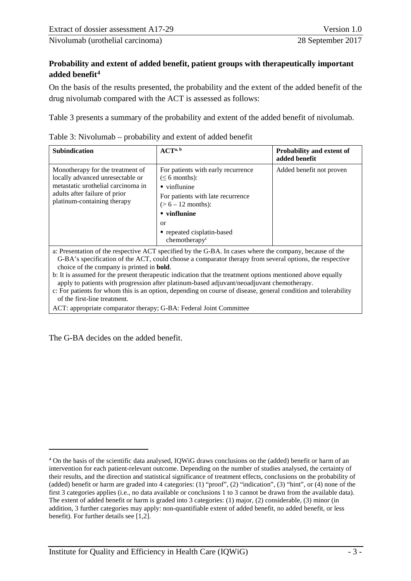# **Probability and extent of added benefit, patient groups with therapeutically important added benefit[4](#page-8-1)**

On the basis of the results presented, the probability and the extent of the added benefit of the drug nivolumab compared with the ACT is assessed as follows:

[Table 3](#page-8-0) presents a summary of the probability and extent of the added benefit of nivolumab.

| <b>Subindication</b>                                                                                                                                                       | ACT <sup>a, b</sup>                                                                                                                                                              | Probability and extent of<br>added benefit |  |
|----------------------------------------------------------------------------------------------------------------------------------------------------------------------------|----------------------------------------------------------------------------------------------------------------------------------------------------------------------------------|--------------------------------------------|--|
| Monotherapy for the treatment of<br>locally advanced unresectable or<br>metastatic urothelial carcinoma in<br>adults after failure of prior<br>platinum-containing therapy | For patients with early recurrence<br>$( \leq 6$ months):<br>$\blacksquare$ vinflunine<br>For patients with late recurrence<br>$(> 6 - 12$ months):<br>$\blacksquare$ vinflunine | Added benefit not proven                   |  |
|                                                                                                                                                                            | or<br>• repeated cisplatin-based<br>chemotherapy $\mathbf{v}^{\mathbf{c}}$                                                                                                       |                                            |  |

<span id="page-8-0"></span>

| Table 3: Nivolumab – probability and extent of added benefit |  |
|--------------------------------------------------------------|--|
|--------------------------------------------------------------|--|

a: Presentation of the respective ACT specified by the G-BA. In cases where the company, because of the G-BA's specification of the ACT, could choose a comparator therapy from several options, the respective choice of the company is printed in **bold**.

b: It is assumed for the present therapeutic indication that the treatment options mentioned above equally apply to patients with progression after platinum-based adjuvant/neoadjuvant chemotherapy.

c: For patients for whom this is an option, depending on course of disease, general condition and tolerability of the first-line treatment.

ACT: appropriate comparator therapy; G-BA: Federal Joint Committee

The G-BA decides on the added benefit.

-

<span id="page-8-1"></span><sup>4</sup> On the basis of the scientific data analysed, IQWiG draws conclusions on the (added) benefit or harm of an intervention for each patient-relevant outcome. Depending on the number of studies analysed, the certainty of their results, and the direction and statistical significance of treatment effects, conclusions on the probability of (added) benefit or harm are graded into 4 categories: (1) "proof", (2) "indication", (3) "hint", or (4) none of the first 3 categories applies (i.e., no data available or conclusions 1 to 3 cannot be drawn from the available data). The extent of added benefit or harm is graded into 3 categories: (1) major, (2) considerable, (3) minor (in addition, 3 further categories may apply: non-quantifiable extent of added benefit, no added benefit, or less benefit). For further details see [1,2].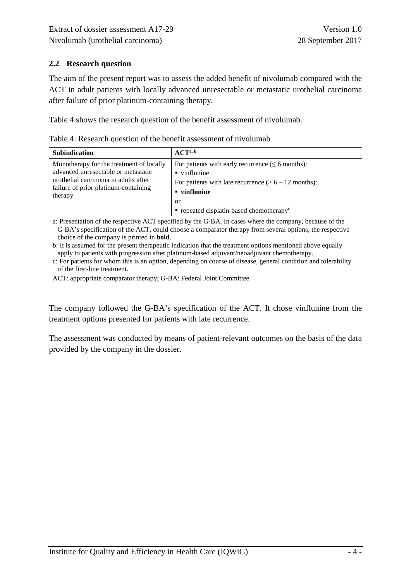# <span id="page-9-0"></span>**2.2 Research question**

The aim of the present report was to assess the added benefit of nivolumab compared with the ACT in adult patients with locally advanced unresectable or metastatic urothelial carcinoma after failure of prior platinum-containing therapy.

[Table 4](#page-9-1) shows the research question of the benefit assessment of nivolumab.

<span id="page-9-1"></span>

| Table 4: Research question of the benefit assessment of nivolumab |  |
|-------------------------------------------------------------------|--|
|-------------------------------------------------------------------|--|

| <b>Subindication</b>                                                                                                                                                       | ACT <sup>a, b</sup>                                                                                                                                                                                                                                   |
|----------------------------------------------------------------------------------------------------------------------------------------------------------------------------|-------------------------------------------------------------------------------------------------------------------------------------------------------------------------------------------------------------------------------------------------------|
| Monotherapy for the treatment of locally<br>advanced unresectable or metastatic<br>urothelial carcinoma in adults after<br>failure of prior platinum-containing<br>therapy | For patients with early recurrence ( $\leq 6$ months):<br>$\blacksquare$ vinflunine<br>For patients with late recurrence $(> 6 - 12$ months):<br>$\blacksquare$ vinflunine<br>0ľ<br>$\blacksquare$ repeated cisplatin-based chemotherapy <sup>c</sup> |

a: Presentation of the respective ACT specified by the G-BA. In cases where the company, because of the G-BA's specification of the ACT, could choose a comparator therapy from several options, the respective choice of the company is printed in **bold**.

b: It is assumed for the present therapeutic indication that the treatment options mentioned above equally apply to patients with progression after platinum-based adjuvant/neoadjuvant chemotherapy.

c: For patients for whom this is an option, depending on course of disease, general condition and tolerability of the first-line treatment.

ACT: appropriate comparator therapy; G-BA: Federal Joint Committee

The company followed the G-BA's specification of the ACT. It chose vinflunine from the treatment options presented for patients with late recurrence.

The assessment was conducted by means of patient-relevant outcomes on the basis of the data provided by the company in the dossier.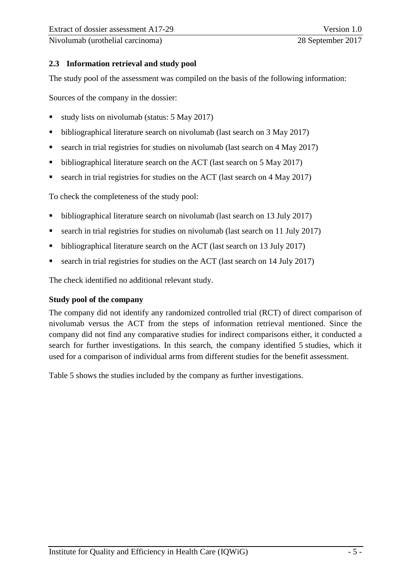# <span id="page-10-0"></span>**2.3 Information retrieval and study pool**

The study pool of the assessment was compiled on the basis of the following information:

Sources of the company in the dossier:

- study lists on nivolumab (status: 5 May 2017)
- bibliographical literature search on nivolumab (last search on 3 May 2017)
- search in trial registries for studies on nivolumab (last search on 4 May 2017)
- bibliographical literature search on the ACT (last search on 5 May 2017)
- search in trial registries for studies on the ACT (last search on 4 May 2017)

To check the completeness of the study pool:

- bibliographical literature search on nivolumab (last search on 13 July 2017)
- search in trial registries for studies on nivolumab (last search on 11 July 2017)
- bibliographical literature search on the ACT (last search on 13 July 2017)
- search in trial registries for studies on the ACT (last search on 14 July 2017)

The check identified no additional relevant study.

#### **Study pool of the company**

The company did not identify any randomized controlled trial (RCT) of direct comparison of nivolumab versus the ACT from the steps of information retrieval mentioned. Since the company did not find any comparative studies for indirect comparisons either, it conducted a search for further investigations. In this search, the company identified 5 studies, which it used for a comparison of individual arms from different studies for the benefit assessment.

[Table 5](#page-11-0) shows the studies included by the company as further investigations.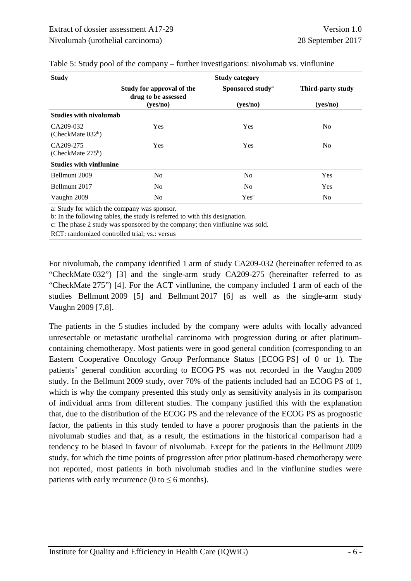| <b>Study</b>                     | <b>Study category</b>                                                                                                      |                              |                               |  |  |  |
|----------------------------------|----------------------------------------------------------------------------------------------------------------------------|------------------------------|-------------------------------|--|--|--|
|                                  | Study for approval of the<br>drug to be assessed                                                                           | Sponsored study <sup>a</sup> | Third-party study<br>(yes/no) |  |  |  |
|                                  | (yes/no)                                                                                                                   | (yes/no)                     |                               |  |  |  |
| <b>Studies with nivolumab</b>    |                                                                                                                            |                              |                               |  |  |  |
| CA209-032<br>(CheckMate $032b$ ) | Yes                                                                                                                        | Yes                          | N <sub>0</sub>                |  |  |  |
| CA209-275<br>(CheckMate $275b$ ) | Yes                                                                                                                        | Yes                          | N <sub>o</sub>                |  |  |  |
| <b>Studies with vinflunine</b>   |                                                                                                                            |                              |                               |  |  |  |
| Bellmunt 2009                    | No                                                                                                                         | N <sub>0</sub>               | Yes                           |  |  |  |
| Bellmunt 2017                    | No                                                                                                                         | N <sub>0</sub>               | <b>Yes</b>                    |  |  |  |
| Vaughn 2009                      | N <sub>0</sub>                                                                                                             | Yes <sup>c</sup>             | N <sub>0</sub>                |  |  |  |
|                                  | a: Study for which the company was sponsor.<br>b: In the following tables, the study is referred to with this designation. |                              |                               |  |  |  |

<span id="page-11-0"></span>Table 5: Study pool of the company – further investigations: nivolumab vs. vinflunine

b: In the following tables, the study is referred to with this designation.

c: The phase 2 study was sponsored by the company; then vinflunine was sold.

RCT: randomized controlled trial; vs.: versus

For nivolumab, the company identified 1 arm of study CA209-032 (hereinafter referred to as "CheckMate 032") [3] and the single-arm study CA209-275 (hereinafter referred to as "CheckMate 275") [4]. For the ACT vinflunine, the company included 1 arm of each of the studies Bellmunt 2009 [5] and Bellmunt 2017 [6] as well as the single-arm study Vaughn 2009 [7,8].

The patients in the 5 studies included by the company were adults with locally advanced unresectable or metastatic urothelial carcinoma with progression during or after platinumcontaining chemotherapy. Most patients were in good general condition (corresponding to an Eastern Cooperative Oncology Group Performance Status [ECOG PS] of 0 or 1). The patients' general condition according to ECOG PS was not recorded in the Vaughn 2009 study. In the Bellmunt 2009 study, over 70% of the patients included had an ECOG PS of 1, which is why the company presented this study only as sensitivity analysis in its comparison of individual arms from different studies. The company justified this with the explanation that, due to the distribution of the ECOG PS and the relevance of the ECOG PS as prognostic factor, the patients in this study tended to have a poorer prognosis than the patients in the nivolumab studies and that, as a result, the estimations in the historical comparison had a tendency to be biased in favour of nivolumab. Except for the patients in the Bellmunt 2009 study, for which the time points of progression after prior platinum-based chemotherapy were not reported, most patients in both nivolumab studies and in the vinflunine studies were patients with early recurrence (0 to  $\leq$  6 months).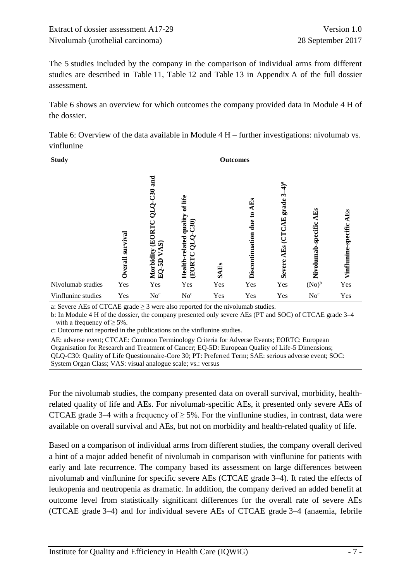| Extract of dossier assessment A17-29 | Version 1.0       |
|--------------------------------------|-------------------|
| Nivolumab (urothelial carcinoma)     | 28 September 2017 |

The 5 studies included by the company in the comparison of individual arms from different studies are described in Table 11, Table 12 and Table 13 in Appendix A of the full dossier assessment.

[Table 6](#page-12-0) shows an overview for which outcomes the company provided data in Module 4 H of the dossier.

<span id="page-12-0"></span>

| Table 6: Overview of the data available in Module $4 H$ – further investigations: nivolumab vs. |  |
|-------------------------------------------------------------------------------------------------|--|
| vinflunine                                                                                      |  |

| <b>Study</b>                                                                        |                    |                                                                          |                                                                 |        | <b>Outcomes</b>                    |                                         |                           |                         |
|-------------------------------------------------------------------------------------|--------------------|--------------------------------------------------------------------------|-----------------------------------------------------------------|--------|------------------------------------|-----------------------------------------|---------------------------|-------------------------|
|                                                                                     | survival<br>verall | and<br>$QLQ-C30$<br><b>EORTC</b><br>ର<br>Morbidity<br>5D<br>$\mathbf{E}$ | of life<br>Health-related quality<br>C30<br>QTÒ<br><b>EORTC</b> | 中<br>m | AEs<br>ៜ<br>due<br>Discontinuation | grade 3-<br>AES (CTCAE<br><b>Severe</b> | AEs<br>Nivolumab-specific | ÷<br>Vinflunine-specifi |
| Nivolumab studies                                                                   | Yes                | Yes                                                                      | Yes                                                             | Yes    | Yes                                | Yes                                     | $(No)^b$                  | Yes                     |
| Vinflunine studies                                                                  | Yes                | No <sup>c</sup>                                                          | No <sup>c</sup>                                                 | Yes    | Yes                                | Yes                                     | No <sup>c</sup>           | Yes                     |
| a: Severe AEs of CTCAE grade $\geq$ 3 were also reported for the nivolumab studies. |                    |                                                                          |                                                                 |        |                                    |                                         |                           |                         |

b: In Module 4 H of the dossier, the company presented only severe AEs (PT and SOC) of CTCAE grade 3–4 with a frequency of  $\geq$  5%.

c: Outcome not reported in the publications on the vinflunine studies.

AE: adverse event; CTCAE: Common Terminology Criteria for Adverse Events; EORTC: European Organisation for Research and Treatment of Cancer; EQ-5D: European Quality of Life-5 Dimensions; QLQ-C30: Quality of Life Questionnaire-Core 30; PT: Preferred Term; SAE: serious adverse event; SOC: System Organ Class; VAS: visual analogue scale; vs.: versus

For the nivolumab studies, the company presented data on overall survival, morbidity, healthrelated quality of life and AEs. For nivolumab-specific AEs, it presented only severe AEs of CTCAE grade 3–4 with a frequency of  $\geq$  5%. For the vinflunine studies, in contrast, data were available on overall survival and AEs, but not on morbidity and health-related quality of life.

Based on a comparison of individual arms from different studies, the company overall derived a hint of a major added benefit of nivolumab in comparison with vinflunine for patients with early and late recurrence. The company based its assessment on large differences between nivolumab and vinflunine for specific severe AEs (CTCAE grade 3–4). It rated the effects of leukopenia and neutropenia as dramatic. In addition, the company derived an added benefit at outcome level from statistically significant differences for the overall rate of severe AEs (CTCAE grade 3–4) and for individual severe AEs of CTCAE grade 3–4 (anaemia, febrile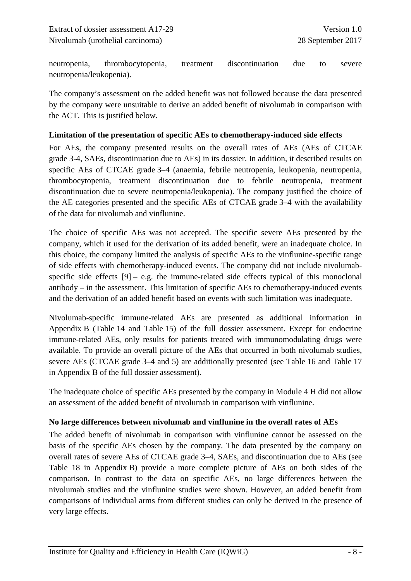neutropenia, thrombocytopenia, treatment discontinuation due to severe neutropenia/leukopenia).

The company's assessment on the added benefit was not followed because the data presented by the company were unsuitable to derive an added benefit of nivolumab in comparison with the ACT. This is justified below.

# **Limitation of the presentation of specific AEs to chemotherapy-induced side effects**

For AEs, the company presented results on the overall rates of AEs (AEs of CTCAE grade 3-4, SAEs, discontinuation due to AEs) in its dossier. In addition, it described results on specific AEs of CTCAE grade 3–4 (anaemia, febrile neutropenia, leukopenia, neutropenia, thrombocytopenia, treatment discontinuation due to febrile neutropenia, treatment discontinuation due to severe neutropenia/leukopenia). The company justified the choice of the AE categories presented and the specific AEs of CTCAE grade 3–4 with the availability of the data for nivolumab and vinflunine.

The choice of specific AEs was not accepted. The specific severe AEs presented by the company, which it used for the derivation of its added benefit, were an inadequate choice. In this choice, the company limited the analysis of specific AEs to the vinflunine-specific range of side effects with chemotherapy-induced events. The company did not include nivolumabspecific side effects  $[9] - e.g.$  the immune-related side effects typical of this monoclonal antibody – in the assessment. This limitation of specific AEs to chemotherapy-induced events and the derivation of an added benefit based on events with such limitation was inadequate.

Nivolumab-specific immune-related AEs are presented as additional information in Appendix B (Table 14 and Table 15) of the full dossier assessment. Except for endocrine immune-related AEs, only results for patients treated with immunomodulating drugs were available. To provide an overall picture of the AEs that occurred in both nivolumab studies, severe AEs (CTCAE grade 3–4 and 5) are additionally presented (see Table 16 and Table 17 in Appendix B of the full dossier assessment).

The inadequate choice of specific AEs presented by the company in Module 4 H did not allow an assessment of the added benefit of nivolumab in comparison with vinflunine.

# **No large differences between nivolumab and vinflunine in the overall rates of AEs**

The added benefit of nivolumab in comparison with vinflunine cannot be assessed on the basis of the specific AEs chosen by the company. The data presented by the company on overall rates of severe AEs of CTCAE grade 3–4, SAEs, and discontinuation due to AEs (see Table 18 in Appendix B) provide a more complete picture of AEs on both sides of the comparison. In contrast to the data on specific AEs, no large differences between the nivolumab studies and the vinflunine studies were shown. However, an added benefit from comparisons of individual arms from different studies can only be derived in the presence of very large effects.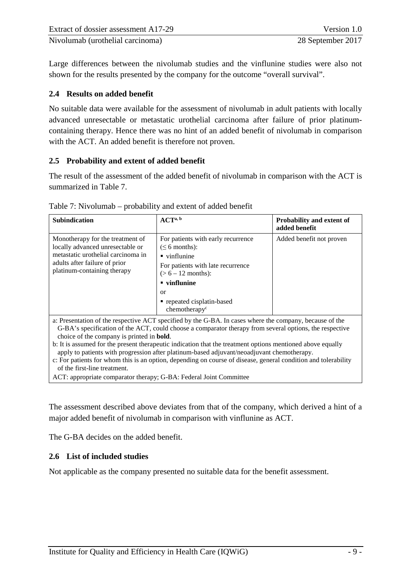| Extract of dossier assessment A17-29 | Version 1.0       |
|--------------------------------------|-------------------|
| Nivolumab (urothelial carcinoma)     | 28 September 2017 |

Large differences between the nivolumab studies and the vinflunine studies were also not shown for the results presented by the company for the outcome "overall survival".

#### <span id="page-14-0"></span>**2.4 Results on added benefit**

No suitable data were available for the assessment of nivolumab in adult patients with locally advanced unresectable or metastatic urothelial carcinoma after failure of prior platinumcontaining therapy. Hence there was no hint of an added benefit of nivolumab in comparison with the ACT. An added benefit is therefore not proven.

#### <span id="page-14-1"></span>**2.5 Probability and extent of added benefit**

The result of the assessment of the added benefit of nivolumab in comparison with the ACT is summarized in [Table 7.](#page-14-3)

| <b>Subindication</b>                                                                                                                                                       | ACT <sup>a, b</sup>                                                                                                                                                                                                                                 | Probability and extent of<br>added benefit |
|----------------------------------------------------------------------------------------------------------------------------------------------------------------------------|-----------------------------------------------------------------------------------------------------------------------------------------------------------------------------------------------------------------------------------------------------|--------------------------------------------|
| Monotherapy for the treatment of<br>locally advanced unresectable or<br>metastatic urothelial carcinoma in<br>adults after failure of prior<br>platinum-containing therapy | For patients with early recurrence<br>$($ $\leq$ 6 months):<br>$\blacksquare$ vinflunine<br>For patients with late recurrence<br>$(> 6 - 12$ months):<br>$\blacksquare$ vinflunine<br>or<br>• repeated cisplatin-based<br>chemotherapy <sup>c</sup> | Added benefit not proven                   |

<span id="page-14-3"></span>Table 7: Nivolumab – probability and extent of added benefit

a: Presentation of the respective ACT specified by the G-BA. In cases where the company, because of the G-BA's specification of the ACT, could choose a comparator therapy from several options, the respective choice of the company is printed in **bold**.

b: It is assumed for the present therapeutic indication that the treatment options mentioned above equally apply to patients with progression after platinum-based adjuvant/neoadjuvant chemotherapy.

c: For patients for whom this is an option, depending on course of disease, general condition and tolerability of the first-line treatment.

ACT: appropriate comparator therapy; G-BA: Federal Joint Committee

The assessment described above deviates from that of the company, which derived a hint of a major added benefit of nivolumab in comparison with vinflunine as ACT.

The G-BA decides on the added benefit.

#### <span id="page-14-2"></span>**2.6 List of included studies**

Not applicable as the company presented no suitable data for the benefit assessment.